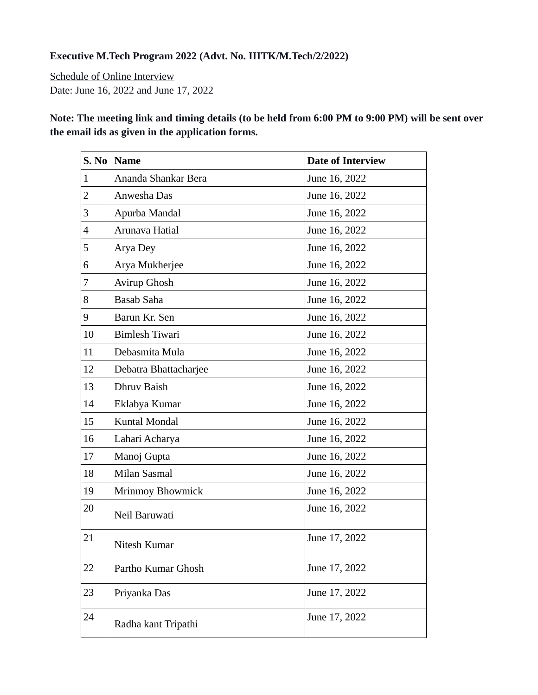## **Executive M.Tech Program 2022 (Advt. No. IIITK/M.Tech/2/2022)**

Schedule of Online Interview Date: June 16, 2022 and June 17, 2022

**Note: The meeting link and timing details (to be held from 6:00 PM to 9:00 PM) will be sent over the email ids as given in the application forms.**

| S. No                    | <b>Name</b>           | <b>Date of Interview</b> |
|--------------------------|-----------------------|--------------------------|
| $\mathbf{1}$             | Ananda Shankar Bera   | June 16, 2022            |
| $\overline{2}$           | Anwesha Das           | June 16, 2022            |
| 3                        | Apurba Mandal         | June 16, 2022            |
| $\overline{\mathcal{A}}$ | Arunava Hatial        | June 16, 2022            |
| 5                        | Arya Dey              | June 16, 2022            |
| 6                        | Arya Mukherjee        | June 16, 2022            |
| 7                        | Avirup Ghosh          | June 16, 2022            |
| 8                        | <b>Basab Saha</b>     | June 16, 2022            |
| 9                        | Barun Kr. Sen         | June 16, 2022            |
| 10                       | <b>Bimlesh Tiwari</b> | June 16, 2022            |
| 11                       | Debasmita Mula        | June 16, 2022            |
| 12                       | Debatra Bhattacharjee | June 16, 2022            |
| 13                       | Dhruv Baish           | June 16, 2022            |
| 14                       | Eklabya Kumar         | June 16, 2022            |
| 15                       | Kuntal Mondal         | June 16, 2022            |
| 16                       | Lahari Acharya        | June 16, 2022            |
| 17                       | Manoj Gupta           | June 16, 2022            |
| 18                       | Milan Sasmal          | June 16, 2022            |
| 19                       | Mrinmoy Bhowmick      | June 16, 2022            |
| 20                       | Neil Baruwati         | June 16, 2022            |
| 21                       | Nitesh Kumar          | June 17, 2022            |
| 22                       | Partho Kumar Ghosh    | June 17, 2022            |
| 23                       | Priyanka Das          | June 17, 2022            |
| 24                       | Radha kant Tripathi   | June 17, 2022            |